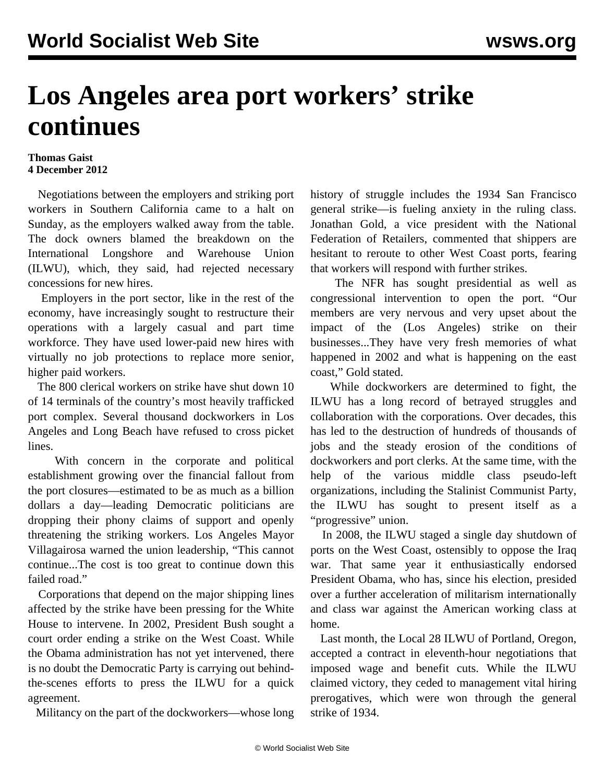## **Los Angeles area port workers' strike continues**

## **Thomas Gaist 4 December 2012**

 Negotiations between the employers and striking port workers in Southern California came to a halt on Sunday, as the employers walked away from the table. The dock owners blamed the breakdown on the International Longshore and Warehouse Union (ILWU), which, they said, had rejected necessary concessions for new hires.

 Employers in the port sector, like in the rest of the economy, have increasingly sought to restructure their operations with a largely casual and part time workforce. They have used lower-paid new hires with virtually no job protections to replace more senior, higher paid workers.

 The 800 clerical workers on strike have shut down 10 of 14 terminals of the country's most heavily trafficked port complex. Several thousand dockworkers in Los Angeles and Long Beach have refused to cross picket lines.

 With concern in the corporate and political establishment growing over the financial fallout from the port closures—estimated to be as much as a billion dollars a day—leading Democratic politicians are dropping their phony claims of support and openly threatening the striking workers. Los Angeles Mayor Villagairosa warned the union leadership, "This cannot continue...The cost is too great to continue down this failed road."

 Corporations that depend on the major shipping lines affected by the strike have been pressing for the White House to intervene. In 2002, President Bush sought a court order ending a strike on the West Coast. While the Obama administration has not yet intervened, there is no doubt the Democratic Party is carrying out behindthe-scenes efforts to press the ILWU for a quick agreement.

Militancy on the part of the dockworkers—whose long

history of struggle includes the 1934 San Francisco general strike—is fueling anxiety in the ruling class. Jonathan Gold, a vice president with the National Federation of Retailers, commented that shippers are hesitant to reroute to other West Coast ports, fearing that workers will respond with further strikes.

 The NFR has sought presidential as well as congressional intervention to open the port. "Our members are very nervous and very upset about the impact of the (Los Angeles) strike on their businesses...They have very fresh memories of what happened in 2002 and what is happening on the east coast," Gold stated.

 While dockworkers are determined to fight, the ILWU has a long record of betrayed struggles and collaboration with the corporations. Over decades, this has led to the destruction of hundreds of thousands of jobs and the steady erosion of the conditions of dockworkers and port clerks. At the same time, with the help of the various middle class pseudo-left organizations, including the Stalinist Communist Party, the ILWU has sought to present itself as a "progressive" union.

 In 2008, the ILWU staged a single day shutdown of ports on the West Coast, ostensibly to oppose the Iraq war. That same year it enthusiastically endorsed President Obama, who has, since his election, presided over a further acceleration of militarism internationally and class war against the American working class at home.

 Last month, the Local 28 ILWU of Portland, Oregon, accepted a contract in eleventh-hour negotiations that imposed wage and benefit cuts. While the ILWU claimed victory, they ceded to management vital hiring prerogatives, which were won through the general strike of 1934.